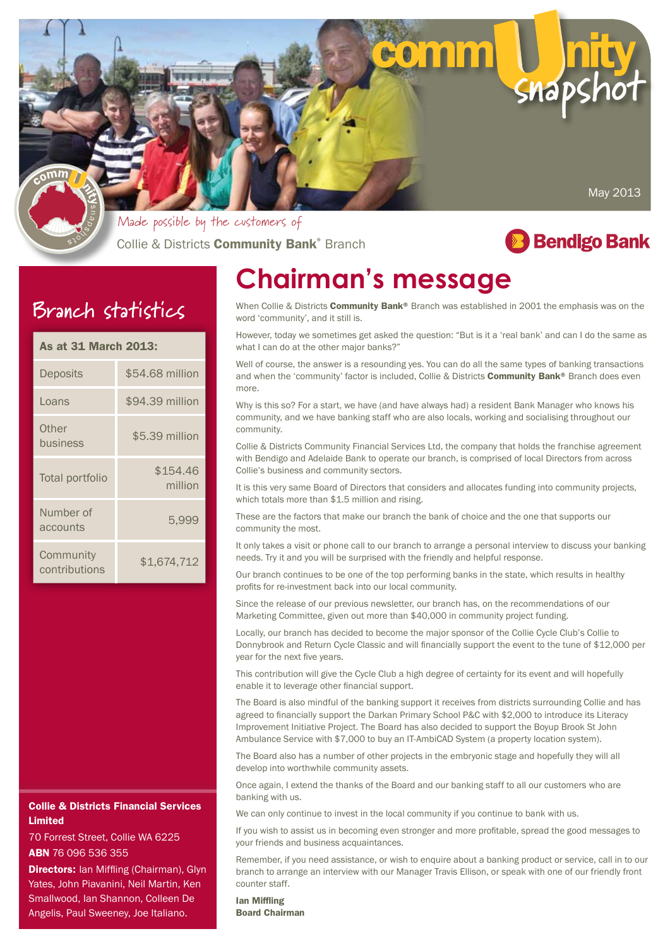

Collie & Districts **Community Bank**® Branch Made possible by the customers of



## **Branch statistics**

|  | <b>As at 31 March 2013:</b> |  |
|--|-----------------------------|--|
|  |                             |  |

| Deposits                   | \$54,68 million     |  |
|----------------------------|---------------------|--|
| Loans                      | \$94.39 million     |  |
| Other<br>business          | \$5.39 million      |  |
| Total portfolio            | \$154.46<br>million |  |
| Number of<br>accounts      | 5,999               |  |
| Community<br>contributions | \$1,674,712         |  |

#### Collie & Districts Financial Services Limited

70 Forrest Street, Collie WA 6225 ABN 76 096 536 355

**Directors:** Ian Miffling (Chairman), Glyn Yates, John Piavanini, Neil Martin, Ken Smallwood, Ian Shannon, Colleen De Angelis, Paul Sweeney, Joe Italiano.

# **Chairman's message**

When Collie & Districts **Community Bank**® Branch was established in 2001 the emphasis was on the word 'community', and it still is.

However, today we sometimes get asked the question: "But is it a 'real bank' and can I do the same as what I can do at the other major banks?'

Well of course, the answer is a resounding yes. You can do all the same types of banking transactions and when the 'community' factor is included, Collie & Districts Community Bank® Branch does even more.

Why is this so? For a start, we have (and have always had) a resident Bank Manager who knows his community, and we have banking staff who are also locals, working and socialising throughout our community.

Collie & Districts Community Financial Services Ltd, the company that holds the franchise agreement with Bendigo and Adelaide Bank to operate our branch, is comprised of local Directors from across Collie's business and community sectors.

It is this very same Board of Directors that considers and allocates funding into community projects, which totals more than \$1.5 million and rising.

These are the factors that make our branch the bank of choice and the one that supports our community the most.

It only takes a visit or phone call to our branch to arrange a personal interview to discuss your banking needs. Try it and you will be surprised with the friendly and helpful response.

Our branch continues to be one of the top performing banks in the state, which results in healthy profits for re-investment back into our local community.

Since the release of our previous newsletter, our branch has, on the recommendations of our Marketing Committee, given out more than \$40,000 in community project funding.

Locally, our branch has decided to become the major sponsor of the Collie Cycle Club's Collie to Donnybrook and Return Cycle Classic and will financially support the event to the tune of \$12,000 per year for the next five years.

This contribution will give the Cycle Club a high degree of certainty for its event and will hopefully enable it to leverage other financial support.

The Board is also mindful of the banking support it receives from districts surrounding Collie and has agreed to financially support the Darkan Primary School P&C with \$2,000 to introduce its Literacy Improvement Initiative Project. The Board has also decided to support the Boyup Brook St John Ambulance Service with \$7,000 to buy an IT-AmbiCAD System (a property location system).

The Board also has a number of other projects in the embryonic stage and hopefully they will all develop into worthwhile community assets.

Once again, I extend the thanks of the Board and our banking staff to all our customers who are banking with us.

We can only continue to invest in the local community if you continue to bank with us.

If you wish to assist us in becoming even stronger and more profitable, spread the good messages to your friends and business acquaintances.

Remember, if you need assistance, or wish to enquire about a banking product or service, call in to our branch to arrange an interview with our Manager Travis Ellison, or speak with one of our friendly front counter staff.

Ian Miffling Board Chairman